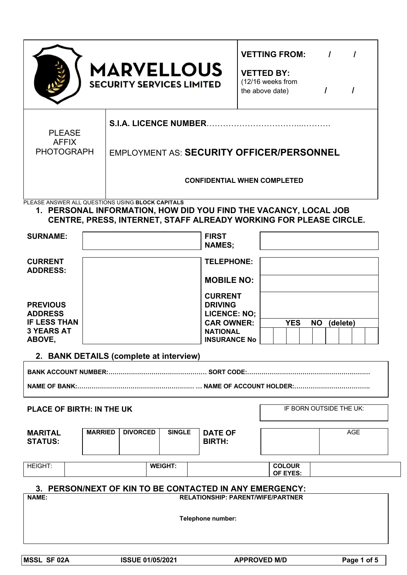|                                                                                                                                                                                           |                | <b>MARVELLOUS</b><br><b>SECURITY SERVICES LIMITED</b>                        |               |  |                                        |            | <b>VETTING FROM:</b><br><b>VETTED BY:</b><br>(12/16 weeks from<br>the above date) |  |                         | $\overline{I}$<br>$\prime$ |  | $\prime$   |  |
|-------------------------------------------------------------------------------------------------------------------------------------------------------------------------------------------|----------------|------------------------------------------------------------------------------|---------------|--|----------------------------------------|------------|-----------------------------------------------------------------------------------|--|-------------------------|----------------------------|--|------------|--|
| S.I.A. LICENCE NUMBER<br><b>PLEASE</b><br><b>AFFIX</b><br><b>PHOTOGRAPH</b><br><b>EMPLOYMENT AS: SECURITY OFFICER/PERSONNEL</b><br><b>CONFIDENTIAL WHEN COMPLETED</b>                     |                |                                                                              |               |  |                                        |            |                                                                                   |  |                         |                            |  |            |  |
| PLEASE ANSWER ALL QUESTIONS USING BLOCK CAPITALS<br>1. PERSONAL INFORMATION, HOW DID YOU FIND THE VACANCY, LOCAL JOB<br>CENTRE, PRESS, INTERNET, STAFF ALREADY WORKING FOR PLEASE CIRCLE. |                |                                                                              |               |  |                                        |            |                                                                                   |  |                         |                            |  |            |  |
| <b>SURNAME:</b>                                                                                                                                                                           |                |                                                                              |               |  | <b>FIRST</b><br><b>NAMES;</b>          |            |                                                                                   |  |                         |                            |  |            |  |
| <b>CURRENT</b><br><b>ADDRESS:</b>                                                                                                                                                         |                |                                                                              |               |  | <b>TELEPHONE:</b><br><b>MOBILE NO:</b> |            |                                                                                   |  |                         |                            |  |            |  |
| <b>PREVIOUS</b><br><b>ADDRESS</b><br><b>IF LESS THAN</b>                                                                                                                                  |                | <b>CURRENT</b><br><b>DRIVING</b><br><b>LICENCE: NO:</b><br><b>CAR OWNER:</b> |               |  |                                        | <b>YES</b> | <b>NO</b>                                                                         |  | (delete)                |                            |  |            |  |
| <b>3 YEARS AT</b><br>ABOVE,                                                                                                                                                               |                |                                                                              |               |  | <b>NATIONAL</b><br><b>INSURANCE No</b> |            |                                                                                   |  |                         |                            |  |            |  |
|                                                                                                                                                                                           |                | 2. BANK DETAILS (complete at interview)                                      |               |  |                                        |            |                                                                                   |  |                         |                            |  |            |  |
|                                                                                                                                                                                           |                |                                                                              |               |  |                                        |            |                                                                                   |  |                         |                            |  |            |  |
| <b>PLACE OF BIRTH: IN THE UK</b>                                                                                                                                                          |                |                                                                              |               |  |                                        |            |                                                                                   |  | IF BORN OUTSIDE THE UK: |                            |  |            |  |
| <b>MARITAL</b><br><b>STATUS:</b>                                                                                                                                                          | <b>MARRIED</b> | <b>DIVORCED</b>                                                              | <b>SINGLE</b> |  | <b>DATE OF</b><br><b>BIRTH:</b>        |            |                                                                                   |  |                         |                            |  | <b>AGE</b> |  |
| <b>HEIGHT:</b>                                                                                                                                                                            |                | <b>WEIGHT:</b>                                                               |               |  |                                        |            | <b>COLOUR</b><br>OF EYES:                                                         |  |                         |                            |  |            |  |
| 3. PERSON/NEXT OF KIN TO BE CONTACTED IN ANY EMERGENCY:<br><b>NAME:</b><br><b>RELATIONSHIP: PARENT/WIFE/PARTNER</b><br>Telephone number:                                                  |                |                                                                              |               |  |                                        |            |                                                                                   |  |                         |                            |  |            |  |

 $\begin{array}{c} \square \\ \square \end{array}$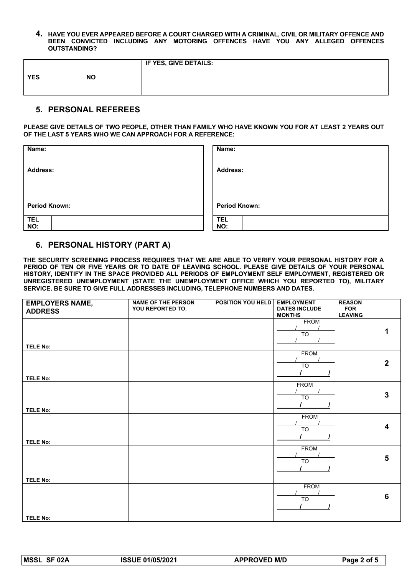**4. HAVE YOU EVER APPEARED BEFORE A COURT CHARGED WITH A CRIMINAL, CIVIL OR MILITARY OFFENCE AND BEEN CONVICTED INCLUDING ANY MOTORING OFFENCES HAVE YOU ANY ALLEGED OFFENCES OUTSTANDING?**

|            |           | <b>IF YES, GIVE DETAILS:</b> |
|------------|-----------|------------------------------|
| <b>YES</b> | <b>NO</b> |                              |
|            |           |                              |

# **5. PERSONAL REFEREES**

**PLEASE GIVE DETAILS OF TWO PEOPLE, OTHER THAN FAMILY WHO HAVE KNOWN YOU FOR AT LEAST 2 YEARS OUT OF THE LAST 5 YEARS WHO WE CAN APPROACH FOR A REFERENCE:**

| Name:                | Name:                |
|----------------------|----------------------|
| <b>Address:</b>      | <b>Address:</b>      |
|                      |                      |
|                      |                      |
| <b>Period Known:</b> | <b>Period Known:</b> |
| <b>TEL</b>           | <b>TEL</b>           |
| NO:                  | NO:                  |

## **6. PERSONAL HISTORY (PART A)**

**THE SECURITY SCREENING PROCESS REQUIRES THAT WE ARE ABLE TO VERIFY YOUR PERSONAL HISTORY FOR A PERIOD OF TEN OR FIVE YEARS OR TO DATE OF LEAVING SCHOOL. PLEASE GIVE DETAILS OF YOUR PERSONAL HISTORY, IDENTIFY IN THE SPACE PROVIDED ALL PERIODS OF EMPLOYMENT SELF EMPLOYMENT, REGISTERED OR UNREGISTERED UNEMPLOYMENT (STATE THE UNEMPLOYMENT OFFICE WHICH YOU REPORTED TO), MILITARY SERVICE. BE SURE TO GIVE FULL ADDRESSES INCLUDING, TELEPHONE NUMBERS AND DATES.** 

| <b>EMPLOYERS NAME,</b><br><b>ADDRESS</b> | <b>NAME OF THE PERSON</b><br>YOU REPORTED TO. | <b>POSITION YOU HELD</b> | <b>EMPLOYMENT</b><br><b>DATES INCLUDE</b><br><b>MONTHS</b> | <b>REASON</b><br><b>FOR</b><br><b>LEAVING</b> |                         |
|------------------------------------------|-----------------------------------------------|--------------------------|------------------------------------------------------------|-----------------------------------------------|-------------------------|
| <b>TELE No:</b>                          |                                               |                          | <b>FROM</b><br><b>TO</b>                                   |                                               |                         |
| <b>TELE No:</b>                          |                                               |                          | <b>FROM</b><br>$\overline{TO}$                             |                                               | $\mathbf{2}$            |
| <b>TELE No:</b>                          |                                               |                          | <b>FROM</b><br>$\overline{10}$                             |                                               | $\overline{3}$          |
| <b>TELE No:</b>                          |                                               |                          | <b>FROM</b><br>$\overline{10}$                             |                                               | $\overline{\mathbf{4}}$ |
| <b>TELE No:</b>                          |                                               |                          | <b>FROM</b><br>$\overline{10}$                             |                                               | $5\phantom{1}$          |
| <b>TELE No:</b>                          |                                               |                          | <b>FROM</b><br>TO                                          |                                               | $6\phantom{1}$          |
|                                          |                                               |                          |                                                            |                                               |                         |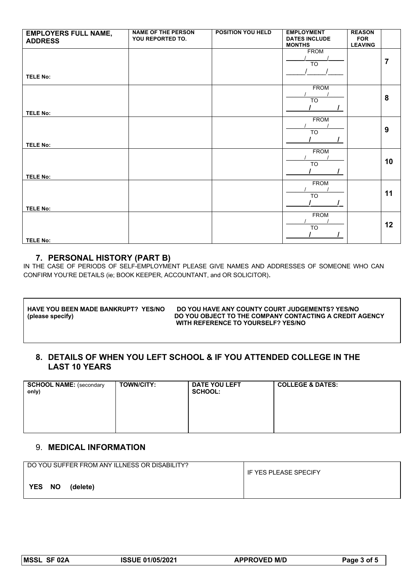| <b>EMPLOYERS FULL NAME,</b><br><b>ADDRESS</b> | <b>NAME OF THE PERSON</b><br>YOU REPORTED TO. | POSITION YOU HELD | <b>EMPLOYMENT</b><br><b>DATES INCLUDE</b><br><b>MONTHS</b> | <b>REASON</b><br><b>FOR</b><br><b>LEAVING</b> |                |
|-----------------------------------------------|-----------------------------------------------|-------------------|------------------------------------------------------------|-----------------------------------------------|----------------|
| <b>TELE No:</b>                               |                                               |                   | <b>FROM</b><br>$\overline{TO}$                             |                                               | $\overline{7}$ |
| <b>TELE No:</b>                               |                                               |                   | <b>FROM</b><br><b>TO</b>                                   |                                               | 8              |
| <b>TELE No:</b>                               |                                               |                   | <b>FROM</b><br><b>TO</b>                                   |                                               | 9              |
| <b>TELE No:</b>                               |                                               |                   | <b>FROM</b><br><b>TO</b>                                   |                                               | 10             |
| <b>TELE No:</b>                               |                                               |                   | <b>FROM</b><br><b>TO</b>                                   |                                               | 11             |
| <b>TELE No:</b>                               |                                               |                   | <b>FROM</b><br>$\overline{10}$                             |                                               | 12             |

## **7. PERSONAL HISTORY (PART B)**

IN THE CASE OF PERIODS OF SELF-EMPLOYMENT PLEASE GIVE NAMES AND ADDRESSES OF SOMEONE WHO CAN CONFIRM YOU'RE DETAILS (ie; BOOK KEEPER, ACCOUNTANT, and OR SOLICITOR).

| I HAVE YOU BEEN MADE BANKRUPT? YES/NO | DO YOU HAVE ANY COUNTY COURT JUDGEMENTS? YES/NO         |
|---------------------------------------|---------------------------------------------------------|
| (please specify)                      | DO YOU OBJECT TO THE COMPANY CONTACTING A CREDIT AGENCY |
|                                       | WITH REFERENCE TO YOURSELF? YES/NO                      |

# **8. DETAILS OF WHEN YOU LEFT SCHOOL & IF YOU ATTENDED COLLEGE IN THE LAST 10 YEARS**

| <b>SCHOOL NAME:</b> (secondary<br>only) | <b>TOWN/CITY:</b> | <b>DATE YOU LEFT</b><br><b>SCHOOL:</b> | <b>COLLEGE &amp; DATES:</b> |
|-----------------------------------------|-------------------|----------------------------------------|-----------------------------|
|                                         |                   |                                        |                             |

# 9. **MEDICAL INFORMATION**

| DO YOU SUFFER FROM ANY ILLNESS OR DISABILITY? | IF YES PLEASE SPECIFY |
|-----------------------------------------------|-----------------------|
| YES NO<br>(delete)                            |                       |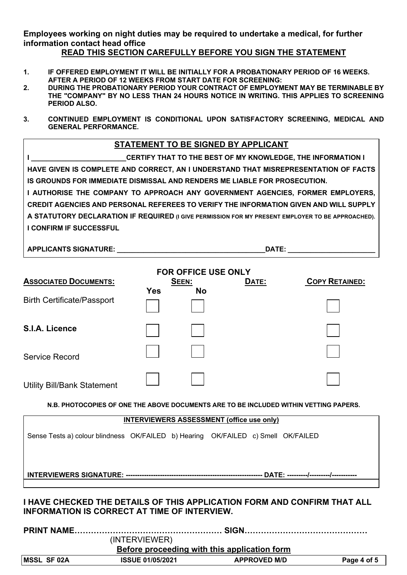**Employees working on night duties may be required to undertake a medical, for further information contact head office** 

## **READ THIS SECTION CAREFULLY BEFORE YOU SIGN THE STATEMENT**

- **1. IF OFFERED EMPLOYMENT IT WILL BE INITIALLY FOR A PROBATIONARY PERIOD OF 16 WEEKS. AFTER A PERIOD OF 12 WEEKS FROM START DATE FOR SCREENING:**
- **2. DURING THE PROBATIONARY PERIOD YOUR CONTRACT OF EMPLOYMENT MAY BE TERMINABLE BY THE "COMPANY" BY NO LESS THAN 24 HOURS NOTICE IN WRITING. THIS APPLIES TO SCREENING PERIOD ALSO.**
- **3. CONTINUED EMPLOYMENT IS CONDITIONAL UPON SATISFACTORY SCREENING, MEDICAL AND GENERAL PERFORMANCE.**

## **STATEMENT TO BE SIGNED BY APPLICANT**

**I I I I I I CERTIFY THAT TO THE BEST OF MY KNOWLEDGE, THE INFORMATION I HAVE GIVEN IS COMPLETE AND CORRECT, AN I UNDERSTAND THAT MISREPRESENTATION OF FACTS IS GROUNDS FOR IMMEDIATE DISMISSAL AND RENDERS ME LIABLE FOR PROSECUTION. I AUTHORISE THE COMPANY TO APPROACH ANY GOVERNMENT AGENCIES, FORMER EMPLOYERS, CREDIT AGENCIES AND PERSONAL REFEREES TO VERIFY THE INFORMATION GIVEN AND WILL SUPPLY A STATUTORY DECLARATION IF REQUIRED (I GIVE PERMISSION FOR MY PRESENT EMPLOYER TO BE APPROACHED). I CONFIRM IF SUCCESSFUL** 

**APPLICANTS SIGNATURE: \_\_\_\_\_\_\_\_\_\_\_\_\_\_\_\_\_\_\_\_\_\_\_\_\_\_\_\_\_\_\_\_\_\_\_\_\_\_\_DATE: \_\_\_\_\_\_\_\_\_\_\_\_\_\_\_\_\_\_\_\_\_\_\_**

|                                                                                                                                 |                         |              | <b>FOR OFFICE USE ONLY</b>                       |                                                                                       |
|---------------------------------------------------------------------------------------------------------------------------------|-------------------------|--------------|--------------------------------------------------|---------------------------------------------------------------------------------------|
| <b>ASSOCIATED DOCUMENTS:</b>                                                                                                    |                         | <b>SEEN:</b> | DATE:                                            | <b>COPY RETAINED:</b>                                                                 |
| <b>Birth Certificate/Passport</b>                                                                                               | <b>Yes</b>              | <b>No</b>    |                                                  |                                                                                       |
| S.I.A. Licence                                                                                                                  |                         |              |                                                  |                                                                                       |
| <b>Service Record</b>                                                                                                           |                         |              |                                                  |                                                                                       |
| <b>Utility Bill/Bank Statement</b>                                                                                              |                         |              |                                                  |                                                                                       |
|                                                                                                                                 |                         |              |                                                  | N.B. PHOTOCOPIES OF ONE THE ABOVE DOCUMENTS ARE TO BE INCLUDED WITHIN VETTING PAPERS. |
|                                                                                                                                 |                         |              | <b>INTERVIEWERS ASSESSMENT (office use only)</b> |                                                                                       |
| Sense Tests a) colour blindness OK/FAILED b) Hearing OK/FAILED c) Smell OK/FAILED                                               |                         |              |                                                  |                                                                                       |
|                                                                                                                                 |                         |              |                                                  |                                                                                       |
| I HAVE CHECKED THE DETAILS OF THIS APPLICATION FORM AND CONFIRM THAT ALL<br><b>INFORMATION IS CORRECT AT TIME OF INTERVIEW.</b> |                         |              |                                                  |                                                                                       |
| <b>PRINT NAME</b>                                                                                                               | (INTERVIEWER)           |              |                                                  |                                                                                       |
|                                                                                                                                 |                         |              | Before proceeding with this application form     |                                                                                       |
| <b>MSSL SF 02A</b>                                                                                                              | <b>ISSUE 01/05/2021</b> |              | <b>APPROVED M/D</b>                              | Page 4 of 5                                                                           |